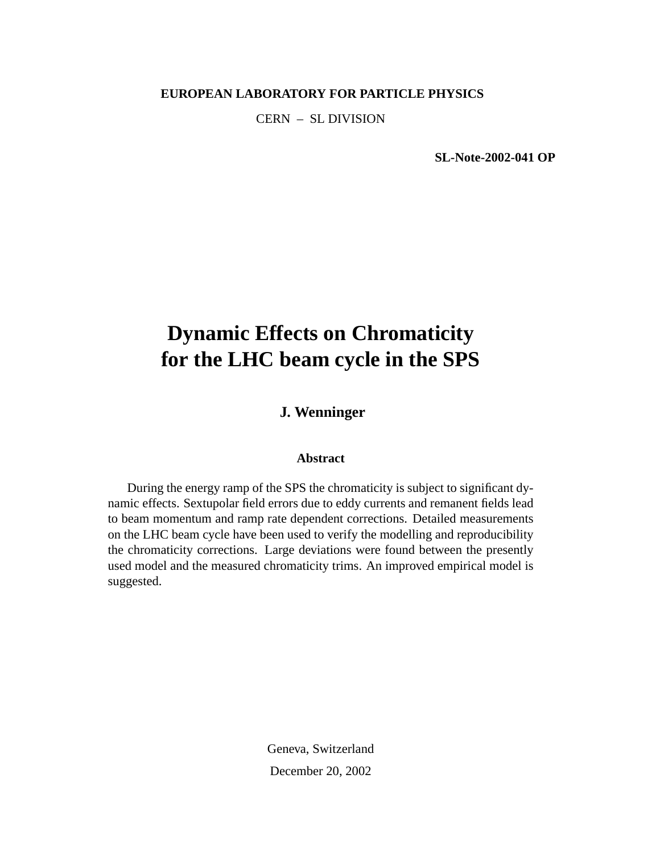#### **EUROPEAN LABORATORY FOR PARTICLE PHYSICS**

CERN – SL DIVISION

**SL-Note-2002-041 OP**

# **Dynamic Effects on Chromaticity for the LHC beam cycle in the SPS**

**J. Wenninger**

#### **Abstract**

During the energy ramp of the SPS the chromaticity is subject to significant dynamic effects. Sextupolar field errors due to eddy currents and remanent fields lead to beam momentum and ramp rate dependent corrections. Detailed measurements on the LHC beam cycle have been used to verify the modelling and reproducibility the chromaticity corrections. Large deviations were found between the presently used model and the measured chromaticity trims. An improved empirical model is suggested.

> Geneva, Switzerland December 20, 2002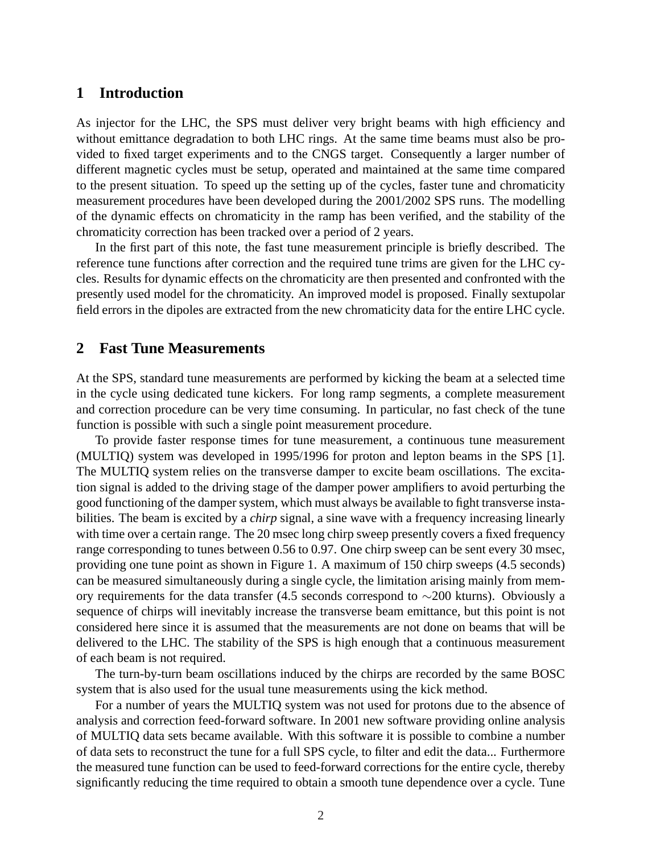## **1 Introduction**

As injector for the LHC, the SPS must deliver very bright beams with high efficiency and without emittance degradation to both LHC rings. At the same time beams must also be provided to fixed target experiments and to the CNGS target. Consequently a larger number of different magnetic cycles must be setup, operated and maintained at the same time compared to the present situation. To speed up the setting up of the cycles, faster tune and chromaticity measurement procedures have been developed during the 2001/2002 SPS runs. The modelling of the dynamic effects on chromaticity in the ramp has been verified, and the stability of the chromaticity correction has been tracked over a period of 2 years.

In the first part of this note, the fast tune measurement principle is briefly described. The reference tune functions after correction and the required tune trims are given for the LHC cycles. Results for dynamic effects on the chromaticity are then presented and confronted with the presently used model for the chromaticity. An improved model is proposed. Finally sextupolar field errors in the dipoles are extracted from the new chromaticity data for the entire LHC cycle.

### **2 Fast Tune Measurements**

At the SPS, standard tune measurements are performed by kicking the beam at a selected time in the cycle using dedicated tune kickers. For long ramp segments, a complete measurement and correction procedure can be very time consuming. In particular, no fast check of the tune function is possible with such a single point measurement procedure.

To provide faster response times for tune measurement, a continuous tune measurement (MULTIQ) system was developed in 1995/1996 for proton and lepton beams in the SPS [1]. The MULTIQ system relies on the transverse damper to excite beam oscillations. The excitation signal is added to the driving stage of the damper power amplifiers to avoid perturbing the good functioning of the damper system, which must always be available to fight transverse instabilities. The beam is excited by a *chirp* signal, a sine wave with a frequency increasing linearly with time over a certain range. The 20 msec long chirp sweep presently covers a fixed frequency range corresponding to tunes between 0.56 to 0.97. One chirp sweep can be sent every 30 msec, providing one tune point as shown in Figure 1. A maximum of 150 chirp sweeps (4.5 seconds) can be measured simultaneously during a single cycle, the limitation arising mainly from memory requirements for the data transfer (4.5 seconds correspond to ∼200 kturns). Obviously a sequence of chirps will inevitably increase the transverse beam emittance, but this point is not considered here since it is assumed that the measurements are not done on beams that will be delivered to the LHC. The stability of the SPS is high enough that a continuous measurement of each beam is not required.

The turn-by-turn beam oscillations induced by the chirps are recorded by the same BOSC system that is also used for the usual tune measurements using the kick method.

For a number of years the MULTIQ system was not used for protons due to the absence of analysis and correction feed-forward software. In 2001 new software providing online analysis of MULTIQ data sets became available. With this software it is possible to combine a number of data sets to reconstruct the tune for a full SPS cycle, to filter and edit the data... Furthermore the measured tune function can be used to feed-forward corrections for the entire cycle, thereby significantly reducing the time required to obtain a smooth tune dependence over a cycle. Tune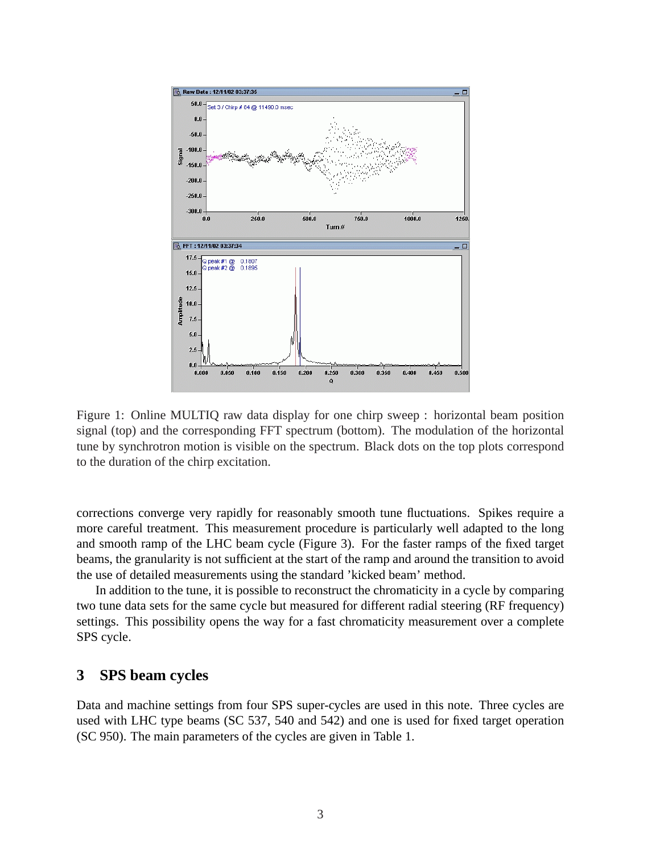

Figure 1: Online MULTIQ raw data display for one chirp sweep : horizontal beam position signal (top) and the corresponding FFT spectrum (bottom). The modulation of the horizontal tune by synchrotron motion is visible on the spectrum. Black dots on the top plots correspond to the duration of the chirp excitation.

corrections converge very rapidly for reasonably smooth tune fluctuations. Spikes require a more careful treatment. This measurement procedure is particularly well adapted to the long and smooth ramp of the LHC beam cycle (Figure 3). For the faster ramps of the fixed target beams, the granularity is not sufficient at the start of the ramp and around the transition to avoid the use of detailed measurements using the standard 'kicked beam' method.

In addition to the tune, it is possible to reconstruct the chromaticity in a cycle by comparing two tune data sets for the same cycle but measured for different radial steering (RF frequency) settings. This possibility opens the way for a fast chromaticity measurement over a complete SPS cycle.

# **3 SPS beam cycles**

Data and machine settings from four SPS super-cycles are used in this note. Three cycles are used with LHC type beams (SC 537, 540 and 542) and one is used for fixed target operation (SC 950). The main parameters of the cycles are given in Table 1.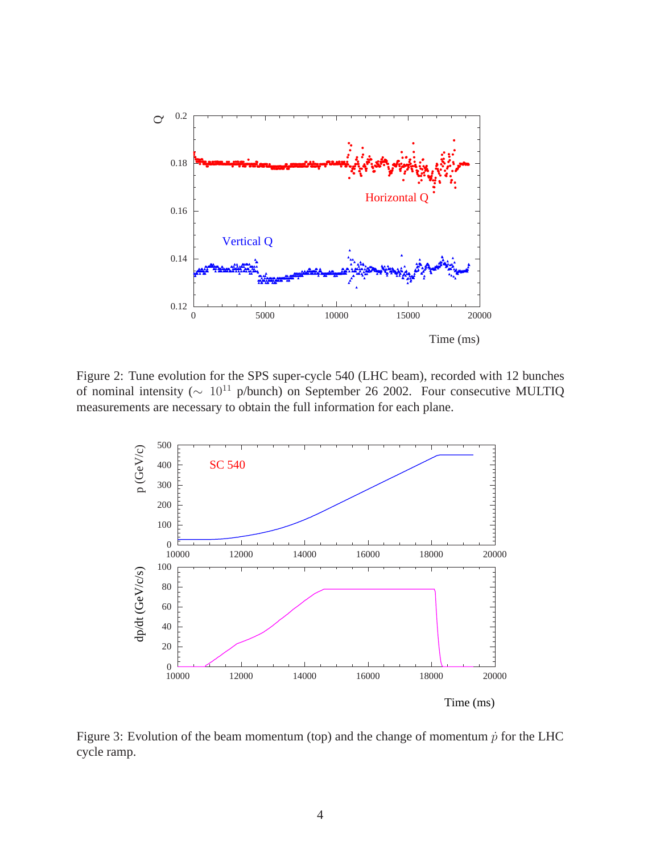

Figure 2: Tune evolution for the SPS super-cycle 540 (LHC beam), recorded with 12 bunches of nominal intensity ( $\sim 10^{11}$  p/bunch) on September 26 2002. Four consecutive MULTIQ measurements are necessary to obtain the full information for each plane.



Figure 3: Evolution of the beam momentum (top) and the change of momentum  $\dot{p}$  for the LHC cycle ramp.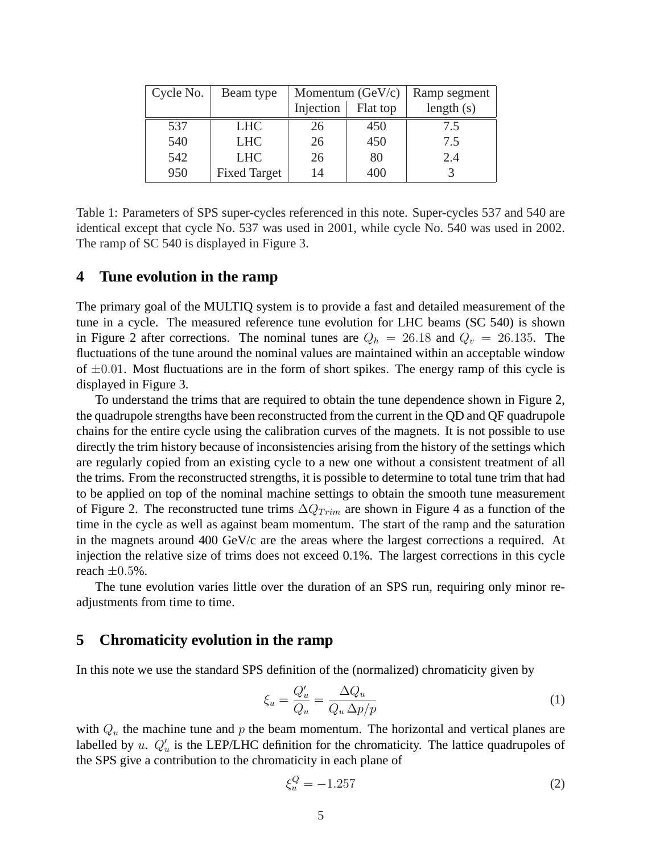| Cycle No. | Beam type           |           | Momentum $(GeV/c)$ | Ramp segment |
|-----------|---------------------|-----------|--------------------|--------------|
|           |                     | Injection | Flat top           | length $(s)$ |
| 537       | <b>LHC</b>          | 26        | 450                | 7.5          |
| 540       | <b>LHC</b>          | 26        | 450                | 7.5          |
| 542       | <b>LHC</b>          | 26        | 80                 | 2.4          |
| 950       | <b>Fixed Target</b> | 14        | 400                |              |

Table 1: Parameters of SPS super-cycles referenced in this note. Super-cycles 537 and 540 are identical except that cycle No. 537 was used in 2001, while cycle No. 540 was used in 2002. The ramp of SC 540 is displayed in Figure 3.

#### **4 Tune evolution in the ramp**

The primary goal of the MULTIQ system is to provide a fast and detailed measurement of the tune in a cycle. The measured reference tune evolution for LHC beams (SC 540) is shown in Figure 2 after corrections. The nominal tunes are  $Q_h = 26.18$  and  $Q_v = 26.135$ . The fluctuations of the tune around the nominal values are maintained within an acceptable window of  $\pm 0.01$ . Most fluctuations are in the form of short spikes. The energy ramp of this cycle is displayed in Figure 3.

To understand the trims that are required to obtain the tune dependence shown in Figure 2, the quadrupole strengths have been reconstructed from the current in the QD and QF quadrupole chains for the entire cycle using the calibration curves of the magnets. It is not possible to use directly the trim history because of inconsistencies arising from the history of the settings which are regularly copied from an existing cycle to a new one without a consistent treatment of all the trims. From the reconstructed strengths, it is possible to determine to total tune trim that had to be applied on top of the nominal machine settings to obtain the smooth tune measurement of Figure 2. The reconstructed tune trims  $\Delta Q_{Trim}$  are shown in Figure 4 as a function of the time in the cycle as well as against beam momentum. The start of the ramp and the saturation in the magnets around 400 GeV/c are the areas where the largest corrections a required. At injection the relative size of trims does not exceed 0.1%. The largest corrections in this cycle reach  $\pm 0.5\%$ .

The tune evolution varies little over the duration of an SPS run, requiring only minor readjustments from time to time.

#### **5 Chromaticity evolution in the ramp**

In this note we use the standard SPS definition of the (normalized) chromaticity given by

$$
\xi_u = \frac{Q'_u}{Q_u} = \frac{\Delta Q_u}{Q_u \Delta p / p} \tag{1}
$$

with  $Q_u$  the machine tune and p the beam momentum. The horizontal and vertical planes are labelled by u.  $Q'_u$  is the LEP/LHC definition for the chromaticity. The lattice quadrupoles of the SPS give a contribution to the chromaticity in each plane of

$$
\xi_u^Q = -1.257\tag{2}
$$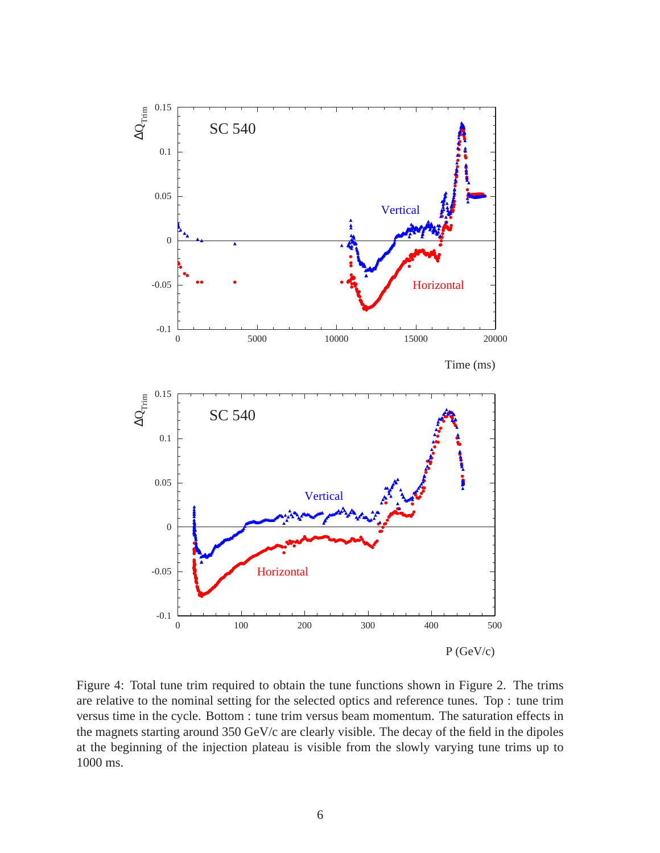

Figure 4: Total tune trim required to obtain the tune functions shown in Figure 2. The trims are relative to the nominal setting for the selected optics and reference tunes. Top : tune trim versus time in the cycle. Bottom : tune trim versus beam momentum. The saturation effects in the magnets starting around 350 GeV/c are clearly visible. The decay of the field in the dipoles at the beginning of the injection plateau is visible from the slowly varying tune trims up to 1000 ms.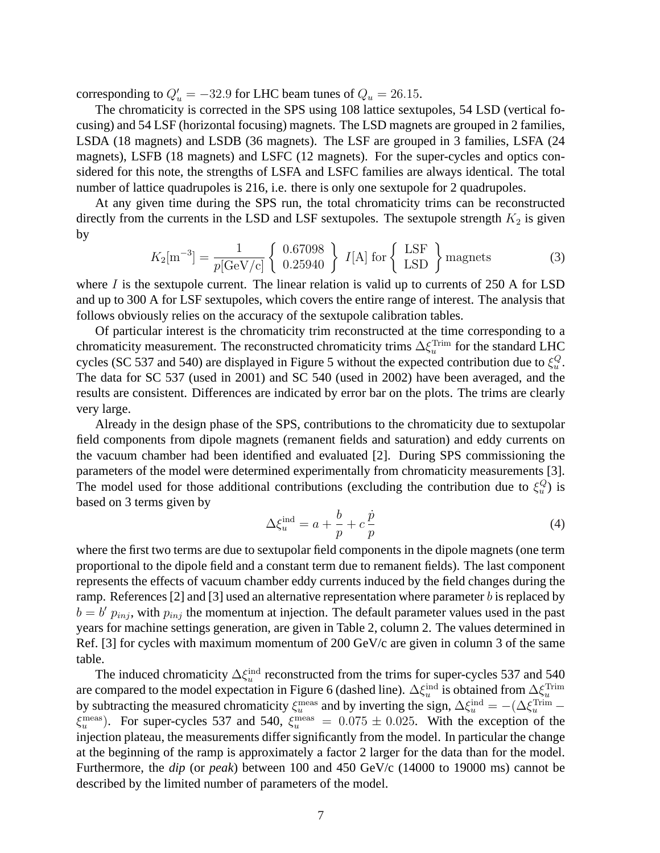corresponding to  $Q'_u = -32.9$  for LHC beam tunes of  $Q_u = 26.15$ .

The chromaticity is corrected in the SPS using 108 lattice sextupoles, 54 LSD (vertical focusing) and 54 LSF (horizontal focusing) magnets. The LSD magnets are grouped in 2 families, LSDA (18 magnets) and LSDB (36 magnets). The LSF are grouped in 3 families, LSFA (24 magnets), LSFB (18 magnets) and LSFC (12 magnets). For the super-cycles and optics considered for this note, the strengths of LSFA and LSFC families are always identical. The total number of lattice quadrupoles is 216, i.e. there is only one sextupole for 2 quadrupoles.

At any given time during the SPS run, the total chromaticity trims can be reconstructed directly from the currents in the LSD and LSF sextupoles. The sextupole strength  $K_2$  is given by

$$
K_2[\text{m}^{-3}] = \frac{1}{p[\text{GeV/c}]}\left\{\begin{array}{c} 0.67098\\ 0.25940 \end{array}\right\} I[\text{A}] \text{ for }\left\{\begin{array}{c} \text{LSF} \\ \text{LSD} \end{array}\right\} \text{magnets}
$$
 (3)

where  $I$  is the sextupole current. The linear relation is valid up to currents of 250 A for LSD and up to 300 A for LSF sextupoles, which covers the entire range of interest. The analysis that follows obviously relies on the accuracy of the sextupole calibration tables.

Of particular interest is the chromaticity trim reconstructed at the time corresponding to a chromaticity measurement. The reconstructed chromaticity trims  $\Delta \xi_u^{\text{Trim}}$  for the standard LHC cycles (SC 537 and 540) are displayed in Figure 5 without the expected contribution due to  $\xi_u^Q$ . The data for SC 537 (used in 2001) and SC 540 (used in 2002) have been averaged, and the results are consistent. Differences are indicated by error bar on the plots. The trims are clearly very large.

Already in the design phase of the SPS, contributions to the chromaticity due to sextupolar field components from dipole magnets (remanent fields and saturation) and eddy currents on the vacuum chamber had been identified and evaluated [2]. During SPS commissioning the parameters of the model were determined experimentally from chromaticity measurements [3]. The model used for those additional contributions (excluding the contribution due to  $\xi_u^Q$ ) is based on 3 terms given by

$$
\Delta \xi_u^{\text{ind}} = a + \frac{b}{p} + c \frac{\dot{p}}{p} \tag{4}
$$

where the first two terms are due to sextupolar field components in the dipole magnets (one term proportional to the dipole field and a constant term due to remanent fields). The last component represents the effects of vacuum chamber eddy currents induced by the field changes during the ramp. References [2] and [3] used an alternative representation where parameter  $b$  is replaced by  $b = b' p_{inj}$ , with  $p_{inj}$  the momentum at injection. The default parameter values used in the past years for machine settings generation, are given in Table 2, column 2. The values determined in Ref. [3] for cycles with maximum momentum of 200 GeV/c are given in column 3 of the same table.

The induced chromaticity  $\Delta \xi_u^{\text{ind}}$  reconstructed from the trims for super-cycles 537 and 540 u are compared to the model expectation in Figure 6 (dashed line).  $\Delta \xi_u^{\text{ind}}$  is obtained from  $\Delta \xi_u^{\text{Trim}}$ by subtracting the measured chromaticity  $\xi_u^{\text{meas}}$  and by inverting the sign,  $\Delta \xi_u^{\text{ind}} = -(\Delta \xi_u^{\text{Trim}} \xi_u^{\text{meas}}$ ). For super-cycles 537 and 540,  $\xi_u^{\text{meas}} = 0.075 \pm 0.025$ . With the exception of the injection plateau, the measurements differ significantly from the model. In particular the change at the beginning of the ramp is approximately a factor 2 larger for the data than for the model. Furthermore, the *dip* (or *peak*) between 100 and 450 GeV/c (14000 to 19000 ms) cannot be described by the limited number of parameters of the model.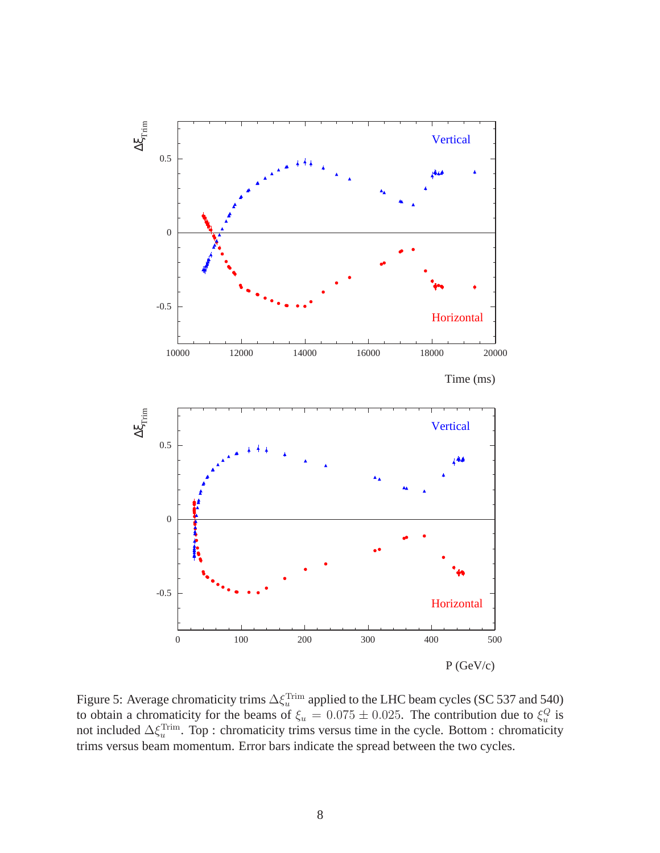

Figure 5: Average chromaticity trims  $\Delta \xi_u^{\text{Trim}}$  applied to the LHC beam cycles (SC 537 and 540) to obtain a chromaticity for the beams of  $\xi_u = 0.075 \pm 0.025$ . The contribution due to  $\xi_u^Q$  is not included  $\Delta \xi_u^{\text{Trim}}$ . Top : chromaticity trims versus time in the cycle. Bottom : chromaticity trims versus beam momentum. Error bars indicate the spread between the two cycles.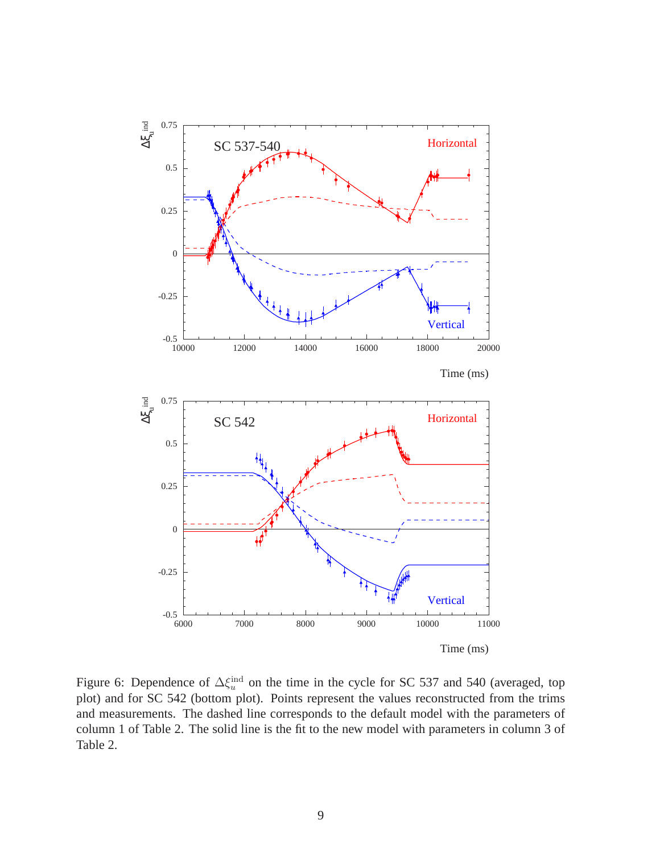

Figure 6: Dependence of  $\Delta \xi_u^{\text{ind}}$  on the time in the cycle for SC 537 and 540 (averaged, top plot) and for SC 542 (bottom plot). Points represent the values reconstructed from the trims and measurements. The dashed line corresponds to the default model with the parameters of column 1 of Table 2. The solid line is the fit to the new model with parameters in column 3 of Table 2.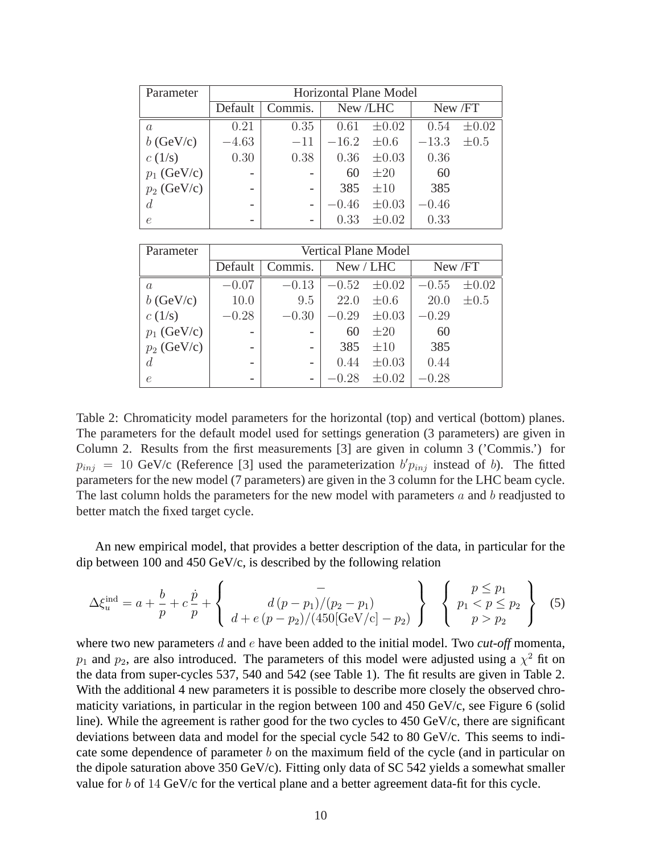| Parameter      | <b>Horizontal Plane Model</b> |         |                 |            |         |            |  |  |
|----------------|-------------------------------|---------|-----------------|------------|---------|------------|--|--|
|                | Default                       | Commis. | New /LHC        |            | New /FT |            |  |  |
| $\alpha$       | 0.21                          | 0.35    | 0.61            | $\pm 0.02$ | 0.54    | $\pm 0.02$ |  |  |
| $b$ (GeV/c)    | $-4.63$                       | $-11$   | $-16.2 \pm 0.6$ |            | $-13.3$ | $\pm 0.5$  |  |  |
| c(1/s)         | 0.30                          | 0.38    | 0.36            | $\pm 0.03$ | 0.36    |            |  |  |
| $p_1$ (GeV/c)  |                               |         | 60              | $\pm 20$   | 60      |            |  |  |
| $p_2$ (GeV/c)  |                               |         | 385             | $\pm 10$   | 385     |            |  |  |
| $\overline{d}$ |                               |         | $-0.46$         | $\pm 0.03$ | $-0.46$ |            |  |  |
| e              |                               |         | 0.33            | $\pm 0.02$ | 0.33    |            |  |  |

| Parameter        | <b>Vertical Plane Model</b> |         |           |            |         |            |  |
|------------------|-----------------------------|---------|-----------|------------|---------|------------|--|
|                  | Default                     | Commis. | New / LHC |            | New /FT |            |  |
| $\overline{a}$   | $-0.07$                     | $-0.13$ | $-0.52$   | $\pm 0.02$ | $-0.55$ | $\pm 0.02$ |  |
| $b$ (GeV/c)      | 10.0                        | 9.5     | 22.0      | $\pm 0.6$  | 20.0    | $\pm 0.5$  |  |
| c(1/s)           | $-0.28$                     | $-0.30$ | $-0.29$   | $\pm 0.03$ | $-0.29$ |            |  |
| $p_1$ (GeV/c)    |                             |         | 60        | $\pm 20$   | 60      |            |  |
| $p_2$ (GeV/c)    |                             |         | 385       | $\pm 10$   | 385     |            |  |
| $\boldsymbol{d}$ | $\overline{\phantom{0}}$    |         | 0.44      | $\pm 0.03$ | 0.44    |            |  |
| $\epsilon$       | $\overline{\phantom{0}}$    |         | $-0.28$   | $\pm 0.02$ | $-0.28$ |            |  |

Table 2: Chromaticity model parameters for the horizontal (top) and vertical (bottom) planes. The parameters for the default model used for settings generation (3 parameters) are given in Column 2. Results from the first measurements [3] are given in column 3 ('Commis.') for  $p_{inj}$  = 10 GeV/c (Reference [3] used the parameterization  $b'p_{inj}$  instead of b). The fitted parameters for the new model (7 parameters) are given in the 3 column for the LHC beam cycle. The last column holds the parameters for the new model with parameters  $a$  and  $b$  readjusted to better match the fixed target cycle.

An new empirical model, that provides a better description of the data, in particular for the dip between 100 and 450 GeV/c, is described by the following relation

$$
\Delta \xi_u^{\text{ind}} = a + \frac{b}{p} + c \frac{\dot{p}}{p} + \begin{Bmatrix} - \\ d(p - p_1)/(p_2 - p_1) \\ d + e(p - p_2)/(450[\text{GeV/c}] - p_2) \end{Bmatrix} \begin{Bmatrix} p \le p_1 \\ p_1 < p \le p_2 \\ p > p_2 \end{Bmatrix}
$$
 (5)

where two new parameters d and e have been added to the initial model. Two *cut-off* momenta,  $p_1$  and  $p_2$ , are also introduced. The parameters of this model were adjusted using a  $\chi^2$  fit on the data from super-cycles 537, 540 and 542 (see Table 1). The fit results are given in Table 2. With the additional 4 new parameters it is possible to describe more closely the observed chromaticity variations, in particular in the region between 100 and 450 GeV/c, see Figure 6 (solid line). While the agreement is rather good for the two cycles to  $450 \text{ GeV/c}$ , there are significant deviations between data and model for the special cycle 542 to 80 GeV/c. This seems to indicate some dependence of parameter  $b$  on the maximum field of the cycle (and in particular on the dipole saturation above 350 GeV/c). Fitting only data of SC 542 yields a somewhat smaller value for b of 14 GeV/c for the vertical plane and a better agreement data-fit for this cycle.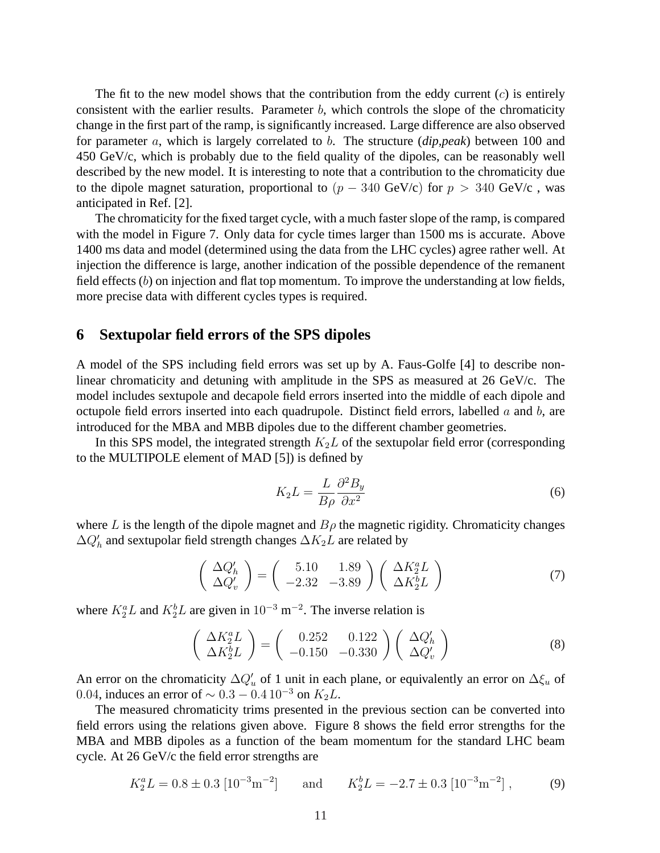The fit to the new model shows that the contribution from the eddy current  $(c)$  is entirely consistent with the earlier results. Parameter  $b$ , which controls the slope of the chromaticity change in the first part of the ramp, is significantly increased. Large difference are also observed for parameter a, which is largely correlated to b. The structure (*dip,peak*) between 100 and 450 GeV/c, which is probably due to the field quality of the dipoles, can be reasonably well described by the new model. It is interesting to note that a contribution to the chromaticity due to the dipole magnet saturation, proportional to  $(p - 340 \text{ GeV/c})$  for  $p > 340 \text{ GeV/c}$ , was anticipated in Ref. [2].

The chromaticity for the fixed target cycle, with a much faster slope of the ramp, is compared with the model in Figure 7. Only data for cycle times larger than 1500 ms is accurate. Above 1400 ms data and model (determined using the data from the LHC cycles) agree rather well. At injection the difference is large, another indication of the possible dependence of the remanent field effects  $(b)$  on injection and flat top momentum. To improve the understanding at low fields, more precise data with different cycles types is required.

#### **6 Sextupolar field errors of the SPS dipoles**

A model of the SPS including field errors was set up by A. Faus-Golfe [4] to describe nonlinear chromaticity and detuning with amplitude in the SPS as measured at 26 GeV/c. The model includes sextupole and decapole field errors inserted into the middle of each dipole and octupole field errors inserted into each quadrupole. Distinct field errors, labelled  $a$  and  $b$ , are introduced for the MBA and MBB dipoles due to the different chamber geometries.

In this SPS model, the integrated strength  $K_2L$  of the sextupolar field error (corresponding to the MULTIPOLE element of MAD [5]) is defined by

$$
K_2 L = \frac{L}{B\rho} \frac{\partial^2 B_y}{\partial x^2} \tag{6}
$$

where L is the length of the dipole magnet and  $B\rho$  the magnetic rigidity. Chromaticity changes  $\Delta Q_h'$  and sextupolar field strength changes  $\Delta K_2L$  are related by

$$
\begin{pmatrix}\n\Delta Q_h' \\
\Delta Q_v'\n\end{pmatrix} = \begin{pmatrix}\n5.10 & 1.89 \\
-2.32 & -3.89\n\end{pmatrix} \begin{pmatrix}\n\Delta K_2^a L \\
\Delta K_2^b L\n\end{pmatrix}
$$
\n(7)

where  $K_2^a L$  and  $K_2^b L$  are given in 10<sup>-3</sup> m<sup>-2</sup>. The inverse relation is

$$
\begin{pmatrix}\n\Delta K_2^a L \\
\Delta K_2^b L\n\end{pmatrix} = \begin{pmatrix}\n0.252 & 0.122 \\
-0.150 & -0.330\n\end{pmatrix} \begin{pmatrix}\n\Delta Q'_h \\
\Delta Q'_v\n\end{pmatrix}
$$
\n(8)

An error on the chromaticity  $\Delta Q_u$  of 1 unit in each plane, or equivalently an error on  $\Delta \xi_u$  of 0.04, induces an error of  $\sim 0.3 - 0.4 10^{-3}$  on  $K_2L$ .

The measured chromaticity trims presented in the previous section can be converted into field errors using the relations given above. Figure 8 shows the field error strengths for the MBA and MBB dipoles as a function of the beam momentum for the standard LHC beam cycle. At 26 GeV/c the field error strengths are

$$
K_2^a L = 0.8 \pm 0.3 \left[10^{-3} \text{m}^{-2}\right]
$$
 and  $K_2^b L = -2.7 \pm 0.3 \left[10^{-3} \text{m}^{-2}\right]$ , (9)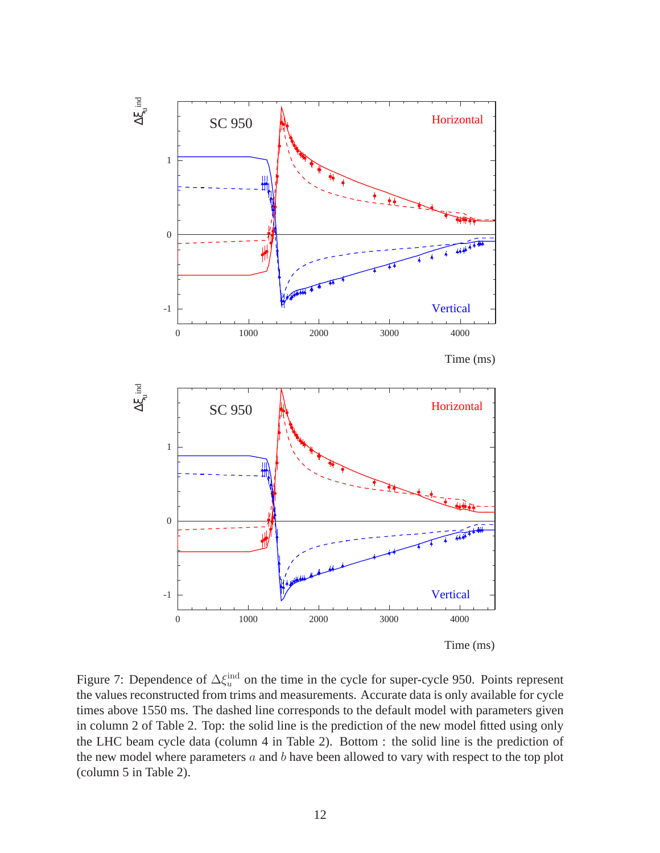

Figure 7: Dependence of  $\Delta \xi_u^{\text{ind}}$  on the time in the cycle for super-cycle 950. Points represent the values reconstructed from trims and measurements. Accurate data is only available for cycle times above 1550 ms. The dashed line corresponds to the default model with parameters given in column 2 of Table 2. Top: the solid line is the prediction of the new model fitted using only the LHC beam cycle data (column 4 in Table 2). Bottom : the solid line is the prediction of the new model where parameters  $a$  and  $b$  have been allowed to vary with respect to the top plot (column 5 in Table 2).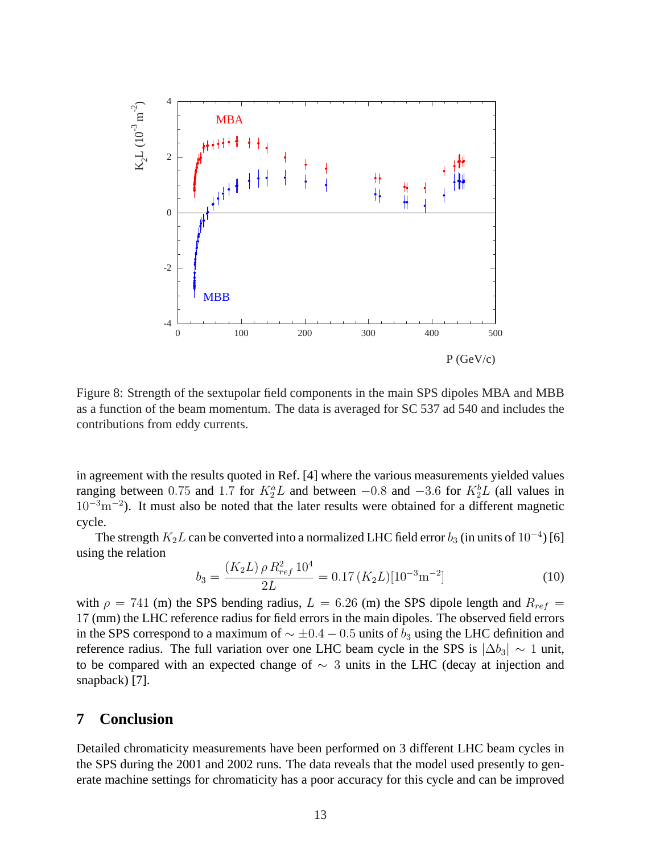

Figure 8: Strength of the sextupolar field components in the main SPS dipoles MBA and MBB as a function of the beam momentum. The data is averaged for SC 537 ad 540 and includes the contributions from eddy currents.

in agreement with the results quoted in Ref. [4] where the various measurements yielded values ranging between 0.75 and 1.7 for  $K_2^a L$  and between  $-0.8$  and  $-3.6$  for  $K_2^b L$  (all values in  $10^{-3}$ m<sup>-2</sup>). It must also be noted that the later results were obtained for a different magnetic cycle.

The strength  $K_2L$  can be converted into a normalized LHC field error  $b_3$  (in units of  $10^{-4}$ ) [6] using the relation

$$
b_3 = \frac{(K_2 L)\,\rho \, R_{ref}^2 \, 10^4}{2L} = 0.17 \,(K_2 L) [10^{-3} \text{m}^{-2}] \tag{10}
$$

with  $\rho = 741$  (m) the SPS bending radius,  $L = 6.26$  (m) the SPS dipole length and  $R_{ref} =$ 17 (mm) the LHC reference radius for field errors in the main dipoles. The observed field errors in the SPS correspond to a maximum of  $\sim \pm 0.4 - 0.5$  units of  $b_3$  using the LHC definition and reference radius. The full variation over one LHC beam cycle in the SPS is  $|\Delta b_3| \sim 1$  unit, to be compared with an expected change of  $\sim$  3 units in the LHC (decay at injection and snapback) [7].

## **7 Conclusion**

Detailed chromaticity measurements have been performed on 3 different LHC beam cycles in the SPS during the 2001 and 2002 runs. The data reveals that the model used presently to generate machine settings for chromaticity has a poor accuracy for this cycle and can be improved